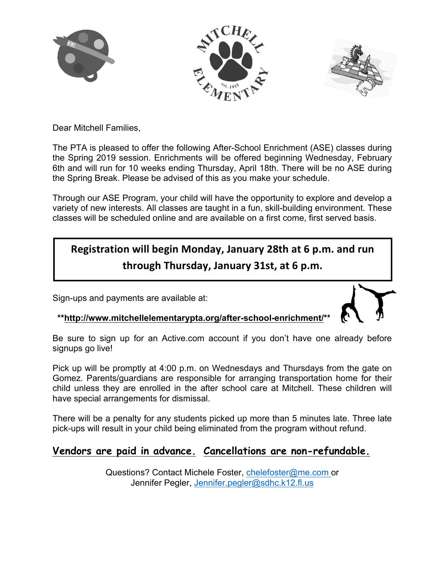





Dear Mitchell Families,

The PTA is pleased to offer the following After-School Enrichment (ASE) classes during the Spring 2019 session. Enrichments will be offered beginning Wednesday, February 6th and will run for 10 weeks ending Thursday, April 18th. There will be no ASE during the Spring Break. Please be advised of this as you make your schedule.

Through our ASE Program, your child will have the opportunity to explore and develop a variety of new interests. All classes are taught in a fun, skill-building environment. These classes will be scheduled online and are available on a first come, first served basis.

# **Registration will begin Monday, January 28th at 6 p.m. and run through Thursday, January 31st, at 6 p.m.**

Sign-ups and payments are available at:



 **\*\*http://www.mitchellelementarypta.org/after-school-enrichment/\*\***

Be sure to sign up for an Active.com account if you don't have one already before signups go live!

Pick up will be promptly at 4:00 p.m. on Wednesdays and Thursdays from the gate on Gomez. Parents/guardians are responsible for arranging transportation home for their child unless they are enrolled in the after school care at Mitchell. These children will have special arrangements for dismissal.

There will be a penalty for any students picked up more than 5 minutes late. Three late pick-ups will result in your child being eliminated from the program without refund.

# **Vendors are paid in advance. Cancellations are non-refundable.**

Questions? Contact Michele Foster, chelefoster@me.com or Jennifer Pegler, Jennifer.pegler@sdhc.k12.fl.us